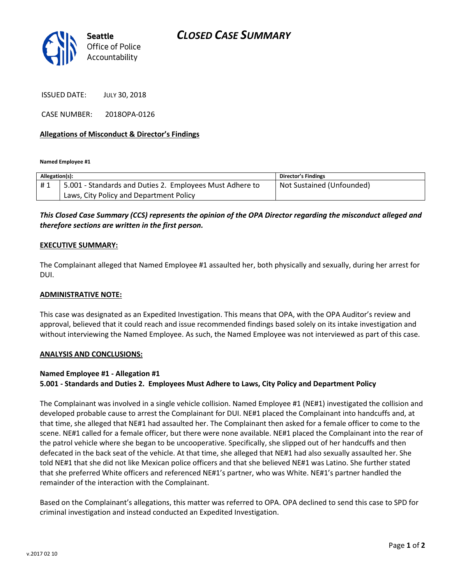

ISSUED DATE: JULY 30, 2018

CASE NUMBER: 2018OPA-0126

### **Allegations of Misconduct & Director's Findings**

**Named Employee #1**

| Allegation(s): |                                                          | Director's Findings       |
|----------------|----------------------------------------------------------|---------------------------|
| #1             | 5.001 - Standards and Duties 2. Employees Must Adhere to | Not Sustained (Unfounded) |
|                | Laws, City Policy and Department Policy                  |                           |

## *This Closed Case Summary (CCS) represents the opinion of the OPA Director regarding the misconduct alleged and therefore sections are written in the first person.*

#### **EXECUTIVE SUMMARY:**

The Complainant alleged that Named Employee #1 assaulted her, both physically and sexually, during her arrest for DUI.

#### **ADMINISTRATIVE NOTE:**

This case was designated as an Expedited Investigation. This means that OPA, with the OPA Auditor's review and approval, believed that it could reach and issue recommended findings based solely on its intake investigation and without interviewing the Named Employee. As such, the Named Employee was not interviewed as part of this case.

#### **ANALYSIS AND CONCLUSIONS:**

#### **Named Employee #1 - Allegation #1**

#### **5.001 - Standards and Duties 2. Employees Must Adhere to Laws, City Policy and Department Policy**

The Complainant was involved in a single vehicle collision. Named Employee #1 (NE#1) investigated the collision and developed probable cause to arrest the Complainant for DUI. NE#1 placed the Complainant into handcuffs and, at that time, she alleged that NE#1 had assaulted her. The Complainant then asked for a female officer to come to the scene. NE#1 called for a female officer, but there were none available. NE#1 placed the Complainant into the rear of the patrol vehicle where she began to be uncooperative. Specifically, she slipped out of her handcuffs and then defecated in the back seat of the vehicle. At that time, she alleged that NE#1 had also sexually assaulted her. She told NE#1 that she did not like Mexican police officers and that she believed NE#1 was Latino. She further stated that she preferred White officers and referenced NE#1's partner, who was White. NE#1's partner handled the remainder of the interaction with the Complainant.

Based on the Complainant's allegations, this matter was referred to OPA. OPA declined to send this case to SPD for criminal investigation and instead conducted an Expedited Investigation.